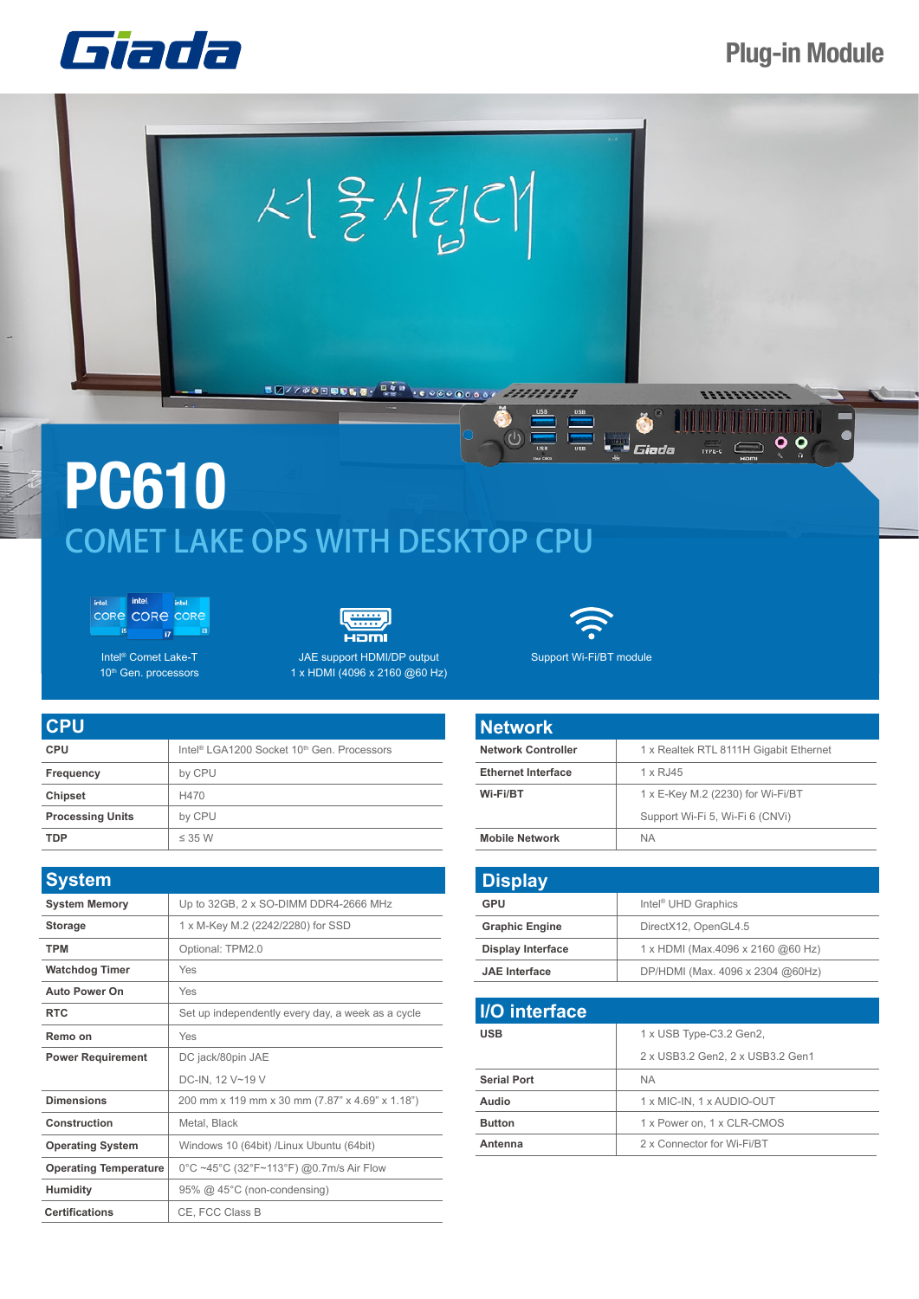## **Plug-in Module**

 $\mathbf{\circ}$  o

 $\frac{1}{\text{TPEC}}$ 





## **Single Street**<br>Single Giada **PC610** COMET LAKE OPS WITH DESKTOP CPU







Intel® Comet Lake-T 10<sup>th</sup> Gen. processors



1 x HDMI (4096 x 2160 @60 Hz)



 $\left(\mathsf{I}\right)$ 

Support Wi-Fi/BT module

| <b>CPU</b>              |                                                                    |
|-------------------------|--------------------------------------------------------------------|
| <b>CPU</b>              | Intel <sup>®</sup> LGA1200 Socket 10 <sup>th</sup> Gen. Processors |
| Frequency               | by CPU                                                             |
| <b>Chipset</b>          | H470                                                               |
| <b>Processing Units</b> | by CPU                                                             |
| TDP                     | $\leq$ 35 W                                                        |

| <b>System</b>                |                                                   |
|------------------------------|---------------------------------------------------|
| <b>System Memory</b>         | Up to 32GB, 2 x SO-DIMM DDR4-2666 MHz             |
| <b>Storage</b>               | 1 x M-Key M.2 (2242/2280) for SSD                 |
| <b>TPM</b>                   | Optional: TPM2.0                                  |
| <b>Watchdog Timer</b>        | Yes                                               |
| <b>Auto Power On</b>         | Yes                                               |
| <b>RTC</b>                   | Set up independently every day, a week as a cycle |
| Remo on                      | Yes                                               |
| <b>Power Requirement</b>     | DC jack/80pin JAE                                 |
|                              | DC-IN, 12 V~19 V                                  |
| <b>Dimensions</b>            | 200 mm x 119 mm x 30 mm (7.87" x 4.69" x 1.18")   |
| Construction                 | Metal, Black                                      |
| <b>Operating System</b>      | Windows 10 (64bit) /Linux Ubuntu (64bit)          |
| <b>Operating Temperature</b> | 0°C ~45°C (32°F~113°F) @0.7m/s Air Flow           |
| <b>Humidity</b>              | 95% @ 45°C (non-condensing)                       |
| <b>Certifications</b>        | CE, FCC Class B                                   |

| <b>Network</b>            |                                        |
|---------------------------|----------------------------------------|
| <b>Network Controller</b> | 1 x Realtek RTL 8111H Gigabit Ethernet |
| <b>Ethernet Interface</b> | 1 x RJ45                               |
| Wi-Fi/BT                  | 1 x E-Key M.2 (2230) for Wi-Fi/BT      |
|                           | Support Wi-Fi 5, Wi-Fi 6 (CNVi)        |
| <b>Mobile Network</b>     | <b>NA</b>                              |

| GPU                      | Intel <sup>®</sup> UHD Graphics   |
|--------------------------|-----------------------------------|
| <b>Graphic Engine</b>    | DirectX12, OpenGL4.5              |
| <b>Display Interface</b> | 1 x HDMI (Max.4096 x 2160 @60 Hz) |
| <b>JAE</b> Interface     | DP/HDMI (Max. 4096 x 2304 @60Hz)  |

| <b>I/O</b> interface |                                  |
|----------------------|----------------------------------|
| <b>USB</b>           | 1 x USB Type-C3.2 Gen2,          |
|                      | 2 x USB3.2 Gen2, 2 x USB3.2 Gen1 |
| <b>Serial Port</b>   | <b>NA</b>                        |
| Audio                | 1 x MIC-IN, 1 x AUDIO-OUT        |
| <b>Button</b>        | 1 x Power on, 1 x CLR-CMOS       |
| Antenna              | 2 x Connector for Wi-Fi/BT       |